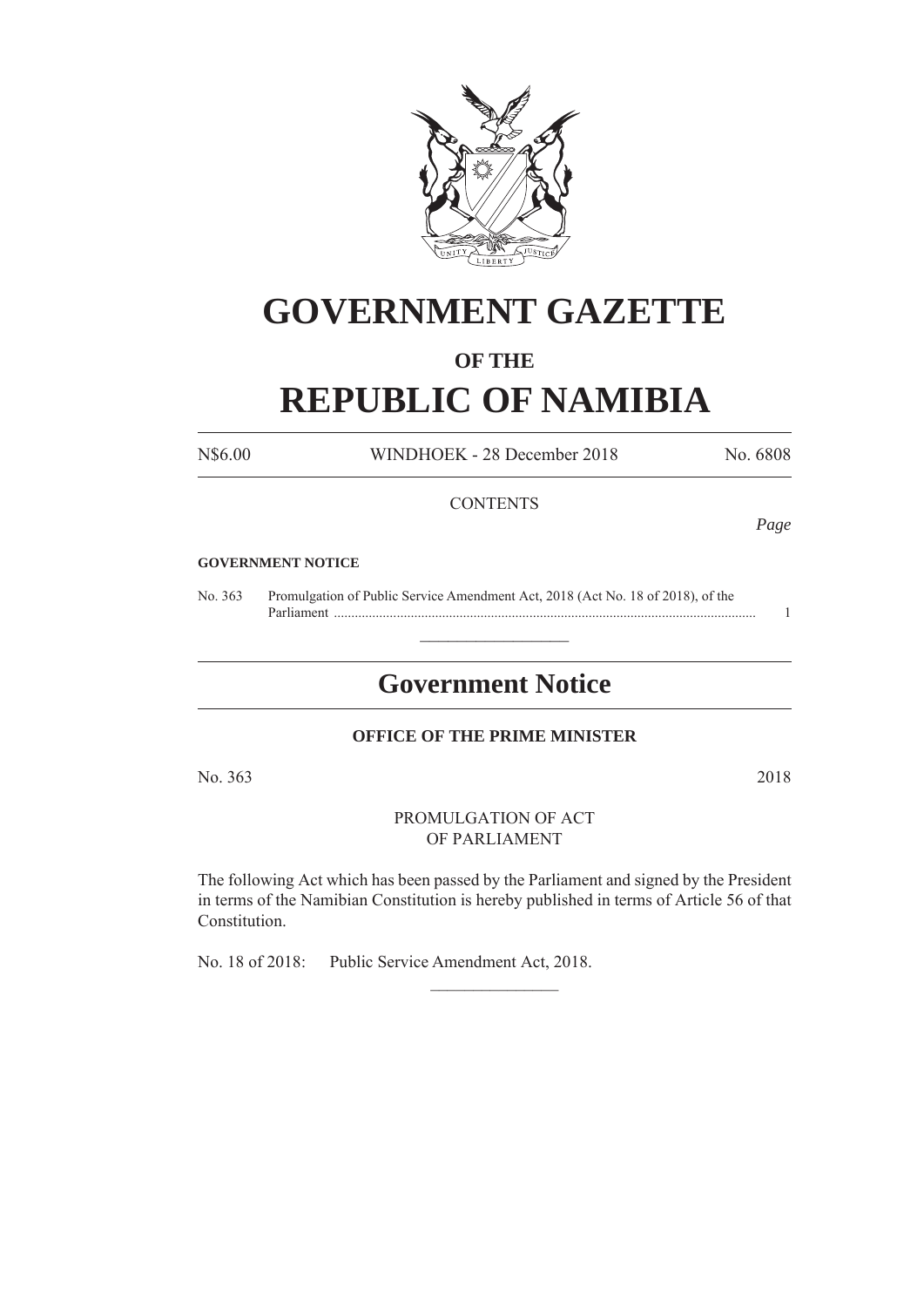

# **GOVERNMENT GAZETTE**

### **OF THE**

## **REPUBLIC OF NAMIBIA**

N\$6.00 WINDHOEK - 28 December 2018 No. 6808

#### **CONTENTS**

*Page*

#### **GOVERNMENT NOTICE**

No. 363 Promulgation of Public Service Amendment Act, 2018 (Act No. 18 of 2018), of the Parliament ......................................................................................................................... 1

## **Government Notice**

 $\frac{1}{2}$ 

#### **OFFICE OF THE PRIME MINISTER**

No. 363 2018

PROMULGATION OF ACT OF PARLIAMENT

The following Act which has been passed by the Parliament and signed by the President in terms of the Namibian Constitution is hereby published in terms of Article 56 of that Constitution.

 $\frac{1}{2}$ 

No. 18 of 2018: Public Service Amendment Act, 2018.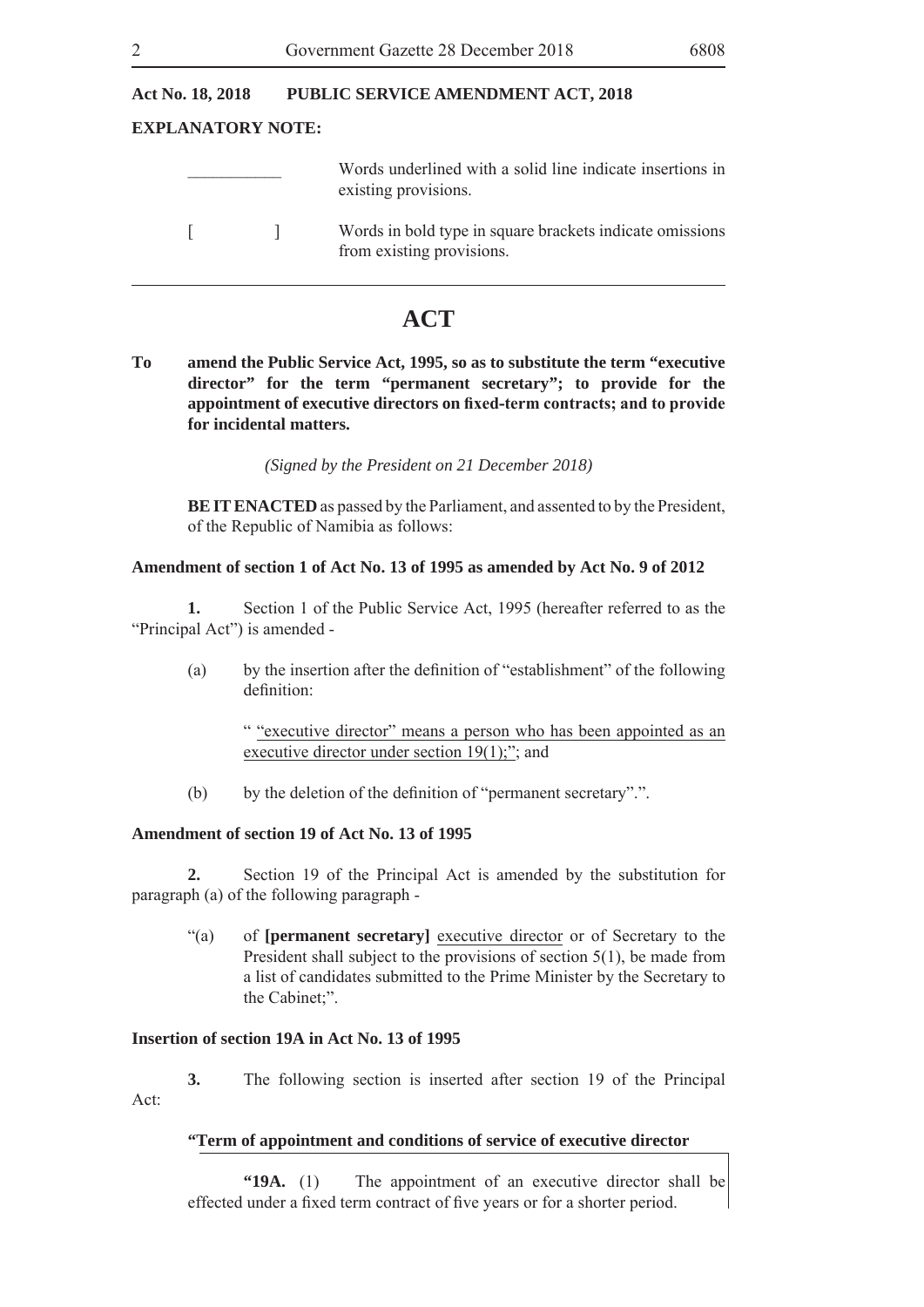#### **Act No. 18, 2018 PUBLIC SERVICE AMENDMENT ACT, 2018**

#### **EXPLANATORY NOTE:**

| Words underlined with a solid line indicate insertions in |
|-----------------------------------------------------------|
| existing provisions.                                      |
|                                                           |

 [ ] Words in bold type in square brackets indicate omissions from existing provisions.

### **ACT**

**To amend the Public Service Act, 1995, so as to substitute the term "executive director" for the term "permanent secretary"; to provide for the**  appointment of executive directors on fixed-term contracts; and to provide **for incidental matters.**

*(Signed by the President on 21 December 2018)*

**BE IT ENACTED** as passed by the Parliament, and assented to by the President, of the Republic of Namibia as follows:

#### **Amendment of section 1 of Act No. 13 of 1995 as amended by Act No. 9 of 2012**

 **1.** Section 1 of the Public Service Act, 1995 (hereafter referred to as the "Principal Act") is amended -

(a) by the insertion after the definition of "establishment" of the following definition<sup>.</sup>

> " "executive director" means a person who has been appointed as an executive director under section 19(1);"; and

(b) by the deletion of the definition of "permanent secretary".".

#### **Amendment of section 19 of Act No. 13 of 1995**

 **2.** Section 19 of the Principal Act is amended by the substitution for paragraph (a) of the following paragraph -

"(a) of **[permanent secretary]** executive director or of Secretary to the President shall subject to the provisions of section 5(1), be made from a list of candidates submitted to the Prime Minister by the Secretary to the Cabinet;".

#### **Insertion of section 19A in Act No. 13 of 1995**

 **3.** The following section is inserted after section 19 of the Principal Act:

#### **"Term of appointment and conditions of service of executive director**

**"19A.** (1) The appointment of an executive director shall be effected under a fixed term contract of five years or for a shorter period.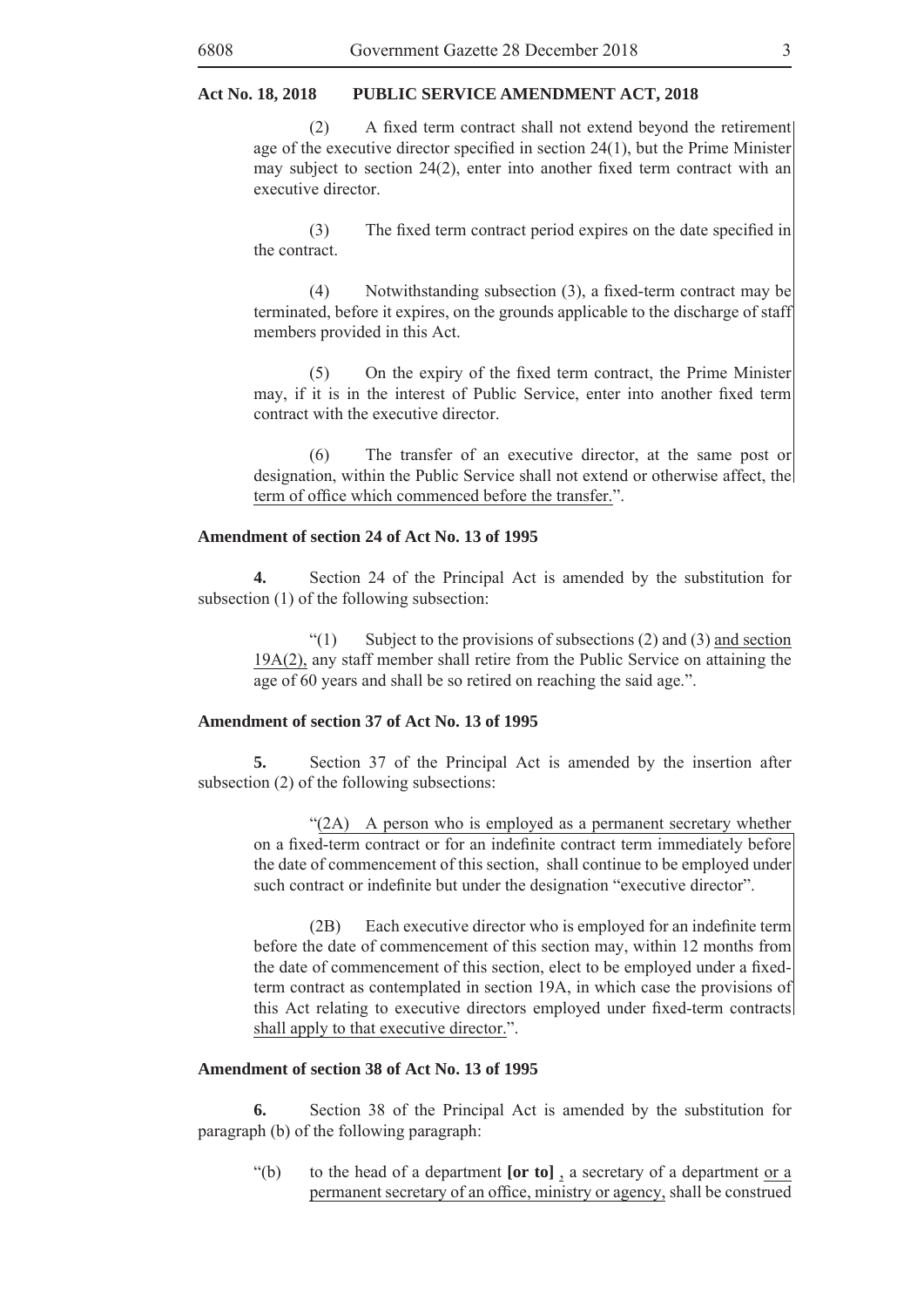#### **Act No. 18, 2018 PUBLIC SERVICE AMENDMENT ACT, 2018**

 $(2)$  A fixed term contract shall not extend beyond the retirement age of the executive director specified in section  $24(1)$ , but the Prime Minister may subject to section 24(2), enter into another fixed term contract with an executive director.

 $(3)$  The fixed term contract period expires on the date specified in the contract.

(4) Notwithstanding subsection  $(3)$ , a fixed-term contract may be terminated, before it expires, on the grounds applicable to the discharge of staff members provided in this Act.

 $(5)$  On the expiry of the fixed term contract, the Prime Minister may, if it is in the interest of Public Service, enter into another fixed term contract with the executive director.

 (6) The transfer of an executive director, at the same post or designation, within the Public Service shall not extend or otherwise affect, the term of office which commenced before the transfer.".

#### **Amendment of section 24 of Act No. 13 of 1995**

**4.** Section 24 of the Principal Act is amended by the substitution for subsection (1) of the following subsection:

 $\lq(1)$  Subject to the provisions of subsections (2) and (3) and section 19A(2), any staff member shall retire from the Public Service on attaining the age of 60 years and shall be so retired on reaching the said age.".

#### **Amendment of section 37 of Act No. 13 of 1995**

 **5.** Section 37 of the Principal Act is amended by the insertion after subsection (2) of the following subsections:

 "(2A) A person who is employed as a permanent secretary whether on a fixed-term contract or for an indefinite contract term immediately before the date of commencement of this section, shall continue to be employed under such contract or indefinite but under the designation "executive director".

(2B) Each executive director who is employed for an indefinite term before the date of commencement of this section may, within 12 months from the date of commencement of this section, elect to be employed under a fixedterm contract as contemplated in section 19A, in which case the provisions of this Act relating to executive directors employed under fixed-term contracts shall apply to that executive director.".

#### **Amendment of section 38 of Act No. 13 of 1995**

 **6.** Section 38 of the Principal Act is amended by the substitution for paragraph (b) of the following paragraph:

"(b) to the head of a department **[or to]** , a secretary of a department or a permanent secretary of an office, ministry or agency, shall be construed